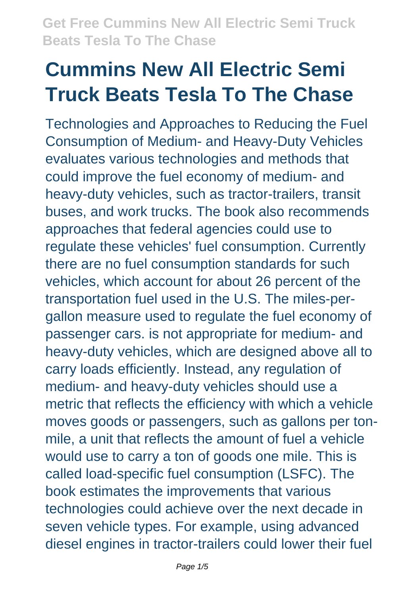# **Cummins New All Electric Semi Truck Beats Tesla To The Chase**

Technologies and Approaches to Reducing the Fuel Consumption of Medium- and Heavy-Duty Vehicles evaluates various technologies and methods that could improve the fuel economy of medium- and heavy-duty vehicles, such as tractor-trailers, transit buses, and work trucks. The book also recommends approaches that federal agencies could use to regulate these vehicles' fuel consumption. Currently there are no fuel consumption standards for such vehicles, which account for about 26 percent of the transportation fuel used in the U.S. The miles-pergallon measure used to regulate the fuel economy of passenger cars. is not appropriate for medium- and heavy-duty vehicles, which are designed above all to carry loads efficiently. Instead, any regulation of medium- and heavy-duty vehicles should use a metric that reflects the efficiency with which a vehicle moves goods or passengers, such as gallons per tonmile, a unit that reflects the amount of fuel a vehicle would use to carry a ton of goods one mile. This is called load-specific fuel consumption (LSFC). The book estimates the improvements that various technologies could achieve over the next decade in seven vehicle types. For example, using advanced diesel engines in tractor-trailers could lower their fuel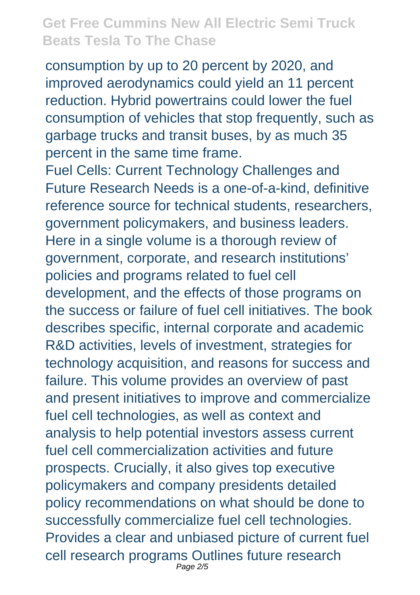consumption by up to 20 percent by 2020, and improved aerodynamics could yield an 11 percent reduction. Hybrid powertrains could lower the fuel consumption of vehicles that stop frequently, such as garbage trucks and transit buses, by as much 35 percent in the same time frame.

Fuel Cells: Current Technology Challenges and Future Research Needs is a one-of-a-kind, definitive reference source for technical students, researchers, government policymakers, and business leaders. Here in a single volume is a thorough review of government, corporate, and research institutions' policies and programs related to fuel cell development, and the effects of those programs on the success or failure of fuel cell initiatives. The book describes specific, internal corporate and academic R&D activities, levels of investment, strategies for technology acquisition, and reasons for success and failure. This volume provides an overview of past and present initiatives to improve and commercialize fuel cell technologies, as well as context and analysis to help potential investors assess current fuel cell commercialization activities and future prospects. Crucially, it also gives top executive policymakers and company presidents detailed policy recommendations on what should be done to successfully commercialize fuel cell technologies. Provides a clear and unbiased picture of current fuel cell research programs Outlines future research Page 2/5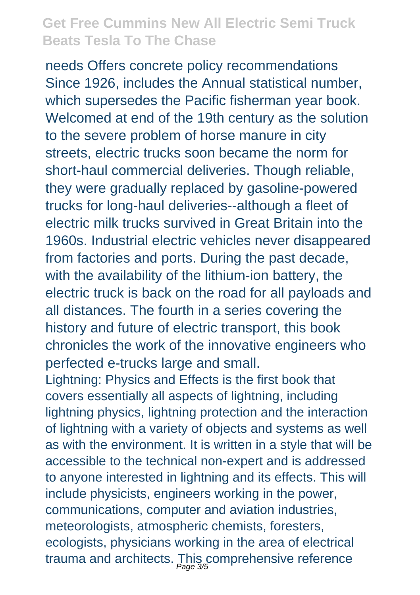needs Offers concrete policy recommendations Since 1926, includes the Annual statistical number, which supersedes the Pacific fisherman year book. Welcomed at end of the 19th century as the solution to the severe problem of horse manure in city streets, electric trucks soon became the norm for short-haul commercial deliveries. Though reliable, they were gradually replaced by gasoline-powered trucks for long-haul deliveries--although a fleet of electric milk trucks survived in Great Britain into the 1960s. Industrial electric vehicles never disappeared from factories and ports. During the past decade, with the availability of the lithium-ion battery, the electric truck is back on the road for all payloads and all distances. The fourth in a series covering the history and future of electric transport, this book chronicles the work of the innovative engineers who perfected e-trucks large and small.

Lightning: Physics and Effects is the first book that covers essentially all aspects of lightning, including lightning physics, lightning protection and the interaction of lightning with a variety of objects and systems as well as with the environment. It is written in a style that will be accessible to the technical non-expert and is addressed to anyone interested in lightning and its effects. This will include physicists, engineers working in the power, communications, computer and aviation industries, meteorologists, atmospheric chemists, foresters, ecologists, physicians working in the area of electrical trauma and architects. This comprehensive reference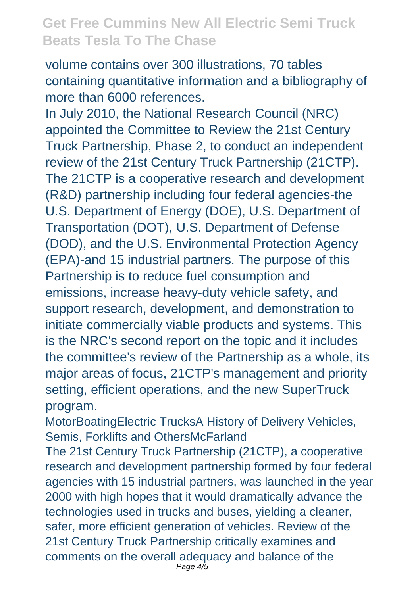volume contains over 300 illustrations, 70 tables containing quantitative information and a bibliography of more than 6000 references.

In July 2010, the National Research Council (NRC) appointed the Committee to Review the 21st Century Truck Partnership, Phase 2, to conduct an independent review of the 21st Century Truck Partnership (21CTP). The 21CTP is a cooperative research and development (R&D) partnership including four federal agencies-the U.S. Department of Energy (DOE), U.S. Department of Transportation (DOT), U.S. Department of Defense (DOD), and the U.S. Environmental Protection Agency (EPA)-and 15 industrial partners. The purpose of this Partnership is to reduce fuel consumption and emissions, increase heavy-duty vehicle safety, and support research, development, and demonstration to initiate commercially viable products and systems. This is the NRC's second report on the topic and it includes the committee's review of the Partnership as a whole, its major areas of focus, 21CTP's management and priority setting, efficient operations, and the new SuperTruck program.

MotorBoatingElectric TrucksA History of Delivery Vehicles, Semis, Forklifts and OthersMcFarland

The 21st Century Truck Partnership (21CTP), a cooperative research and development partnership formed by four federal agencies with 15 industrial partners, was launched in the year 2000 with high hopes that it would dramatically advance the technologies used in trucks and buses, yielding a cleaner, safer, more efficient generation of vehicles. Review of the 21st Century Truck Partnership critically examines and comments on the overall adequacy and balance of the Page 4/5